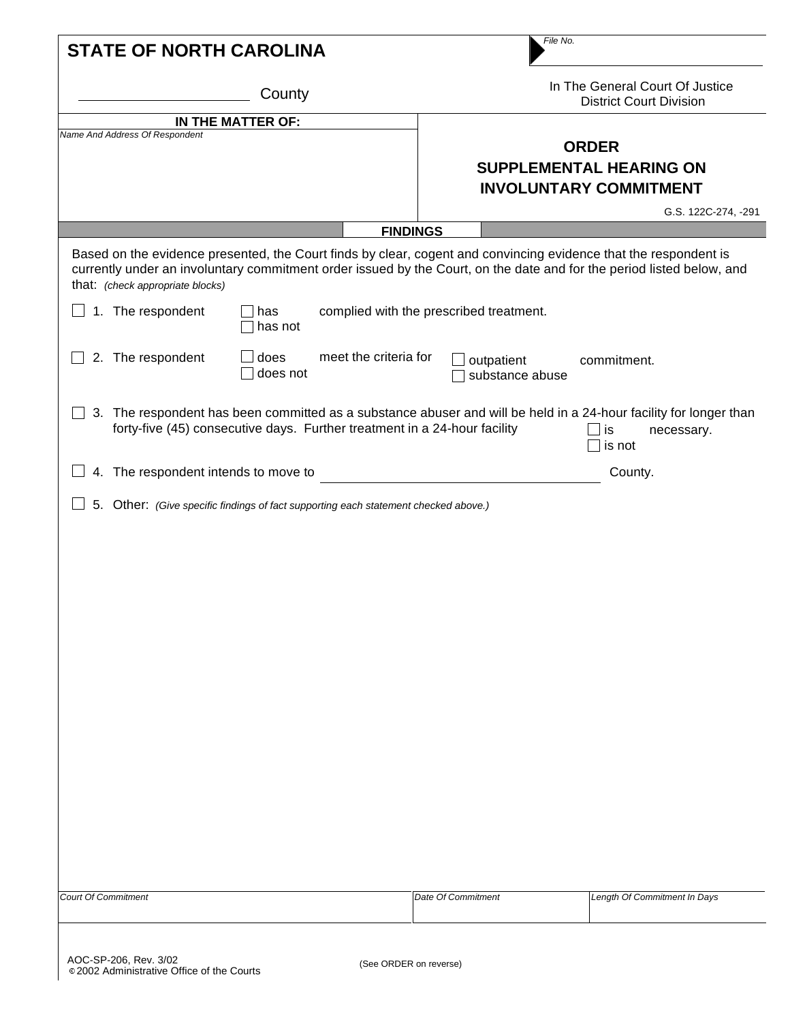|                   |                                                                                     | County           |                       |                                         | In The General Court Of Justice<br><b>District Court Division</b>                                                                                                                                                                         |
|-------------------|-------------------------------------------------------------------------------------|------------------|-----------------------|-----------------------------------------|-------------------------------------------------------------------------------------------------------------------------------------------------------------------------------------------------------------------------------------------|
| IN THE MATTER OF: |                                                                                     |                  |                       |                                         |                                                                                                                                                                                                                                           |
|                   | Name And Address Of Respondent                                                      |                  |                       |                                         | <b>ORDER</b><br><b>SUPPLEMENTAL HEARING ON</b><br><b>INVOLUNTARY COMMITMENT</b>                                                                                                                                                           |
|                   |                                                                                     |                  |                       |                                         | G.S. 122C-274, -291                                                                                                                                                                                                                       |
|                   |                                                                                     |                  |                       | <b>FINDINGS</b>                         |                                                                                                                                                                                                                                           |
|                   | that: (check appropriate blocks)                                                    |                  |                       |                                         | Based on the evidence presented, the Court finds by clear, cogent and convincing evidence that the respondent is<br>currently under an involuntary commitment order issued by the Court, on the date and for the period listed below, and |
| $\mathbf{I}$      | 1. The respondent                                                                   | has<br>has not   |                       | complied with the prescribed treatment. |                                                                                                                                                                                                                                           |
|                   | 2. The respondent                                                                   | does<br>does not | meet the criteria for | outpatient<br>substance abuse           | commitment.                                                                                                                                                                                                                               |
|                   | forty-five (45) consecutive days. Further treatment in a 24-hour facility           |                  |                       |                                         | 3. The respondent has been committed as a substance abuser and will be held in a 24-hour facility for longer than<br>$\mathsf{\exists}$ is<br>necessary.<br>is not                                                                        |
|                   |                                                                                     |                  |                       |                                         |                                                                                                                                                                                                                                           |
|                   | 4. The respondent intends to move to                                                |                  |                       |                                         | County.                                                                                                                                                                                                                                   |
|                   |                                                                                     |                  |                       |                                         |                                                                                                                                                                                                                                           |
|                   | 5. Other: (Give specific findings of fact supporting each statement checked above.) |                  |                       |                                         |                                                                                                                                                                                                                                           |
|                   |                                                                                     |                  |                       |                                         |                                                                                                                                                                                                                                           |
|                   |                                                                                     |                  |                       |                                         |                                                                                                                                                                                                                                           |
|                   |                                                                                     |                  |                       |                                         |                                                                                                                                                                                                                                           |
|                   |                                                                                     |                  |                       |                                         |                                                                                                                                                                                                                                           |
|                   |                                                                                     |                  |                       |                                         |                                                                                                                                                                                                                                           |
|                   |                                                                                     |                  |                       |                                         |                                                                                                                                                                                                                                           |
|                   |                                                                                     |                  |                       |                                         |                                                                                                                                                                                                                                           |
|                   |                                                                                     |                  |                       |                                         |                                                                                                                                                                                                                                           |
|                   |                                                                                     |                  |                       |                                         |                                                                                                                                                                                                                                           |
|                   |                                                                                     |                  |                       |                                         |                                                                                                                                                                                                                                           |
|                   |                                                                                     |                  |                       |                                         |                                                                                                                                                                                                                                           |
|                   |                                                                                     |                  |                       |                                         |                                                                                                                                                                                                                                           |
|                   |                                                                                     |                  |                       |                                         |                                                                                                                                                                                                                                           |
|                   |                                                                                     |                  |                       |                                         |                                                                                                                                                                                                                                           |